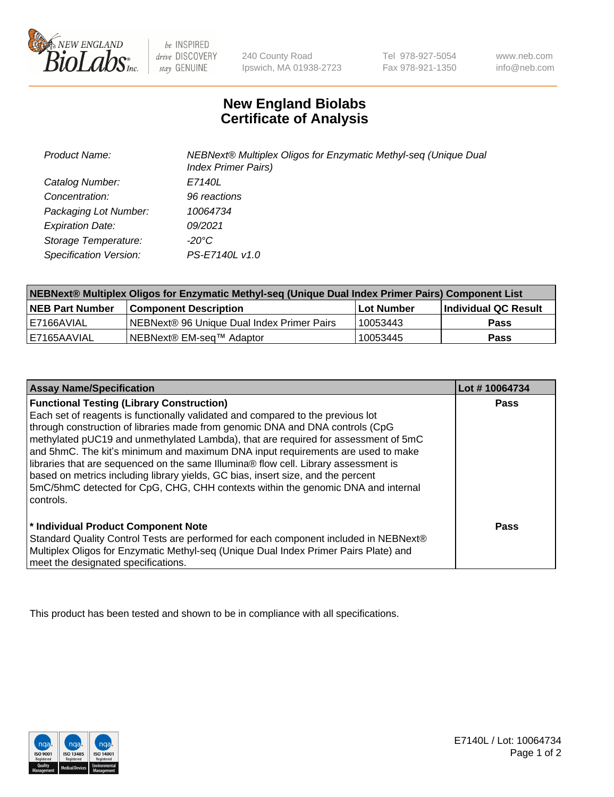

be INSPIRED drive DISCOVERY stay GENUINE

240 County Road Ipswich, MA 01938-2723 Tel 978-927-5054 Fax 978-921-1350 www.neb.com info@neb.com

## **New England Biolabs Certificate of Analysis**

| <b>Product Name:</b>    | NEBNext® Multiplex Oligos for Enzymatic Methyl-seq (Unique Dual<br><b>Index Primer Pairs)</b> |
|-------------------------|-----------------------------------------------------------------------------------------------|
| Catalog Number:         | E7140L                                                                                        |
| Concentration:          | 96 reactions                                                                                  |
| Packaging Lot Number:   | 10064734                                                                                      |
| <b>Expiration Date:</b> | 09/2021                                                                                       |
| Storage Temperature:    | -20°C                                                                                         |
| Specification Version:  | PS-E7140L v1.0                                                                                |

| NEBNext® Multiplex Oligos for Enzymatic Methyl-seq (Unique Dual Index Primer Pairs) Component List |                                            |            |                             |  |
|----------------------------------------------------------------------------------------------------|--------------------------------------------|------------|-----------------------------|--|
| <b>NEB Part Number</b>                                                                             | <b>Component Description</b>               | Lot Number | <b>Individual QC Result</b> |  |
| I E7166AVIAL                                                                                       | NEBNext® 96 Unique Dual Index Primer Pairs | 10053443   | <b>Pass</b>                 |  |
| I E7165AAVIAL                                                                                      | NEBNext® EM-seq™ Adaptor                   | 10053445   | <b>Pass</b>                 |  |

| <b>Assay Name/Specification</b>                                                      | Lot #10064734 |
|--------------------------------------------------------------------------------------|---------------|
| <b>Functional Testing (Library Construction)</b>                                     | <b>Pass</b>   |
| Each set of reagents is functionally validated and compared to the previous lot      |               |
| through construction of libraries made from genomic DNA and DNA controls (CpG        |               |
| methylated pUC19 and unmethylated Lambda), that are required for assessment of 5mC   |               |
| and 5hmC. The kit's minimum and maximum DNA input requirements are used to make      |               |
| libraries that are sequenced on the same Illumina® flow cell. Library assessment is  |               |
| based on metrics including library yields, GC bias, insert size, and the percent     |               |
| 5mC/5hmC detected for CpG, CHG, CHH contexts within the genomic DNA and internal     |               |
| controls.                                                                            |               |
|                                                                                      |               |
| * Individual Product Component Note                                                  | Pass          |
| Standard Quality Control Tests are performed for each component included in NEBNext® |               |
| Multiplex Oligos for Enzymatic Methyl-seq (Unique Dual Index Primer Pairs Plate) and |               |
| meet the designated specifications.                                                  |               |

This product has been tested and shown to be in compliance with all specifications.